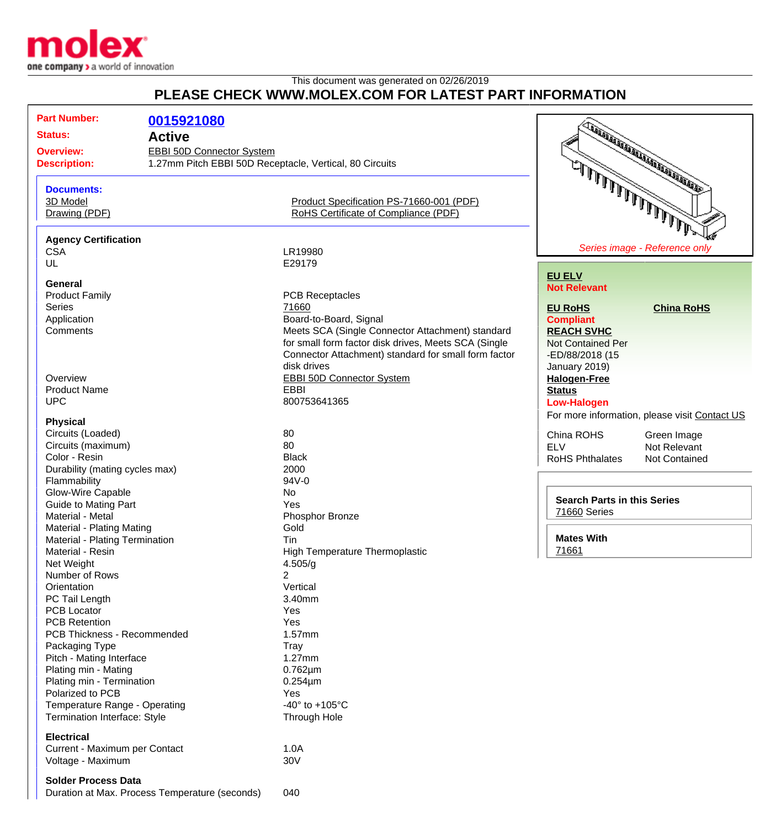

## This document was generated on 02/26/2019 **PLEASE CHECK WWW.MOLEX.COM FOR LATEST PART INFORMATION**

| <b>Part Number:</b>            |                                                         |                                                      |                                     |                                               |
|--------------------------------|---------------------------------------------------------|------------------------------------------------------|-------------------------------------|-----------------------------------------------|
|                                | 0015921080                                              |                                                      |                                     | <b>CONSTRUCTION OF THE OWNER WARDEN</b>       |
| <b>Status:</b>                 | <b>Active</b>                                           |                                                      |                                     |                                               |
| <b>Overview:</b>               | <b>EBBI 50D Connector System</b>                        |                                                      |                                     |                                               |
| <b>Description:</b>            | 1.27mm Pitch EBBI 50D Receptacle, Vertical, 80 Circuits |                                                      |                                     |                                               |
|                                |                                                         |                                                      |                                     |                                               |
| <b>Documents:</b>              |                                                         |                                                      | شمشلالملالملالملال الملاليل وسيستعظ |                                               |
| 3D Model                       |                                                         | Product Specification PS-71660-001 (PDF)             |                                     |                                               |
| Drawing (PDF)                  |                                                         | RoHS Certificate of Compliance (PDF)                 |                                     |                                               |
|                                |                                                         |                                                      |                                     |                                               |
| <b>Agency Certification</b>    |                                                         |                                                      |                                     |                                               |
| <b>CSA</b>                     |                                                         | LR19980                                              |                                     | Series image - Reference only                 |
| UL                             |                                                         | E29179                                               |                                     |                                               |
|                                |                                                         |                                                      | <b>EU ELV</b>                       |                                               |
| General                        |                                                         |                                                      | <b>Not Relevant</b>                 |                                               |
| <b>Product Family</b>          |                                                         | <b>PCB Receptacles</b>                               |                                     |                                               |
| <b>Series</b>                  |                                                         | 71660                                                | <b>EU RoHS</b>                      | <b>China RoHS</b>                             |
| Application                    |                                                         | Board-to-Board, Signal                               | <b>Compliant</b>                    |                                               |
| Comments                       |                                                         | Meets SCA (Single Connector Attachment) standard     | <b>REACH SVHC</b>                   |                                               |
|                                |                                                         | for small form factor disk drives, Meets SCA (Single | <b>Not Contained Per</b>            |                                               |
|                                |                                                         | Connector Attachment) standard for small form factor | -ED/88/2018 (15                     |                                               |
|                                |                                                         | disk drives                                          | January 2019)                       |                                               |
| Overview                       |                                                         | <b>EBBI 50D Connector System</b>                     | <b>Halogen-Free</b>                 |                                               |
| <b>Product Name</b>            |                                                         | <b>EBBI</b>                                          | <b>Status</b>                       |                                               |
| <b>UPC</b>                     |                                                         | 800753641365                                         |                                     |                                               |
|                                |                                                         |                                                      | <b>Low-Halogen</b>                  |                                               |
| <b>Physical</b>                |                                                         |                                                      |                                     | For more information, please visit Contact US |
| Circuits (Loaded)              |                                                         | 80                                                   | China ROHS                          | Green Image                                   |
| Circuits (maximum)             |                                                         | 80                                                   | <b>ELV</b>                          | Not Relevant                                  |
| Color - Resin                  |                                                         | <b>Black</b>                                         | <b>RoHS Phthalates</b>              | <b>Not Contained</b>                          |
| Durability (mating cycles max) |                                                         | 2000                                                 |                                     |                                               |
| Flammability                   |                                                         | 94V-0                                                |                                     |                                               |
| Glow-Wire Capable              |                                                         | No                                                   |                                     |                                               |
| <b>Guide to Mating Part</b>    |                                                         | Yes                                                  | <b>Search Parts in this Series</b>  |                                               |
| Material - Metal               |                                                         | Phosphor Bronze                                      | 71660 Series                        |                                               |
| Material - Plating Mating      |                                                         | Gold                                                 |                                     |                                               |
| Material - Plating Termination |                                                         | Tin                                                  | <b>Mates With</b>                   |                                               |
| Material - Resin               |                                                         | High Temperature Thermoplastic                       | 71661                               |                                               |
| Net Weight                     |                                                         | 4.505/g                                              |                                     |                                               |
| Number of Rows                 |                                                         | 2                                                    |                                     |                                               |
| Orientation                    |                                                         | Vertical                                             |                                     |                                               |
| PC Tail Length                 |                                                         | 3.40mm                                               |                                     |                                               |
| <b>PCB Locator</b>             |                                                         | Yes                                                  |                                     |                                               |
| <b>PCB Retention</b>           |                                                         | Yes                                                  |                                     |                                               |
| PCB Thickness - Recommended    |                                                         | 1.57mm                                               |                                     |                                               |
|                                |                                                         |                                                      |                                     |                                               |
| Packaging Type                 |                                                         | Tray                                                 |                                     |                                               |
| Pitch - Mating Interface       |                                                         | 1.27mm                                               |                                     |                                               |
| Plating min - Mating           |                                                         | $0.762 \mu m$                                        |                                     |                                               |
| Plating min - Termination      |                                                         | $0.254 \mu m$                                        |                                     |                                               |
| Polarized to PCB               |                                                         | Yes                                                  |                                     |                                               |
| Temperature Range - Operating  |                                                         | -40 $\degree$ to +105 $\degree$ C                    |                                     |                                               |
| Termination Interface: Style   |                                                         | Through Hole                                         |                                     |                                               |
| <b>Electrical</b>              |                                                         |                                                      |                                     |                                               |
| Current - Maximum per Contact  |                                                         | 1.0A                                                 |                                     |                                               |
| Voltage - Maximum              |                                                         | 30V                                                  |                                     |                                               |
|                                |                                                         |                                                      |                                     |                                               |
| <b>Solder Process Data</b>     |                                                         |                                                      |                                     |                                               |
|                                | Duration at Max. Process Temperature (seconds)          | 040                                                  |                                     |                                               |
|                                |                                                         |                                                      |                                     |                                               |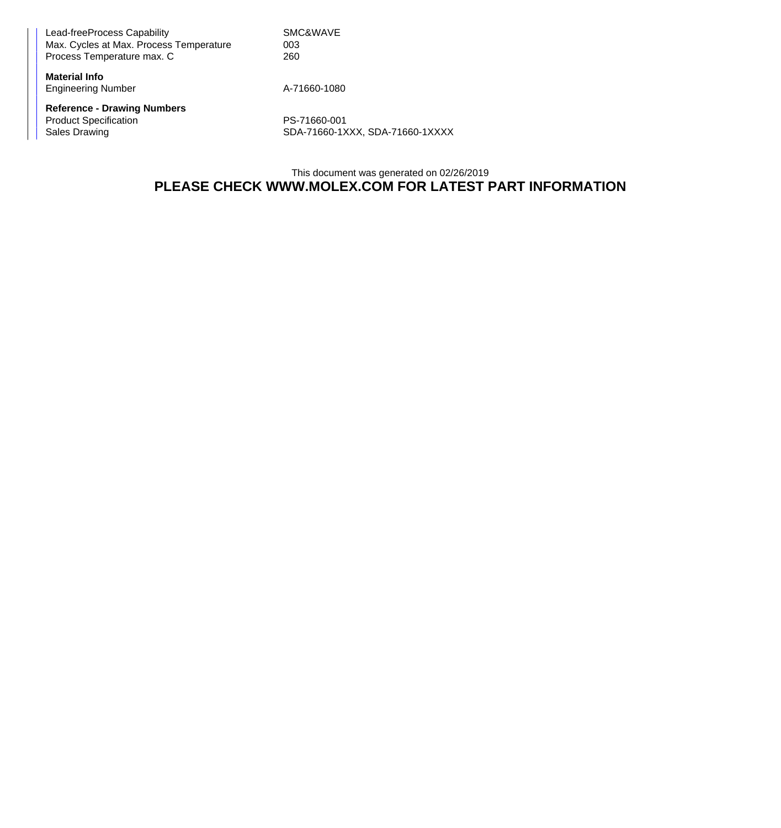Lead-freeProcess Capability Network SMC&WAVE Max. Cycles at Max. Process Temperature  $003$ Process Temperature max. C 260

**Material Info** Engineering Number A-71660-1080

**Reference - Drawing Numbers** Product Specification<br>
Sales Drawing<br>
SDA-71660-1X<br>
PS-71660-1X

SDA-71660-1XXX, SDA-71660-1XXXX

This document was generated on 02/26/2019 **PLEASE CHECK WWW.MOLEX.COM FOR LATEST PART INFORMATION**